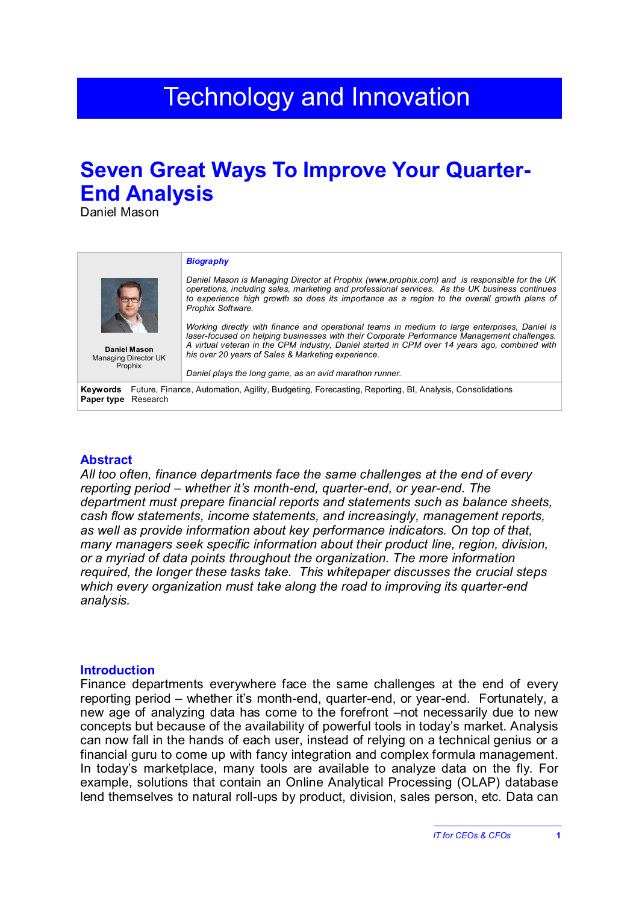# **Technology and Innovation**

# **Seven Great Ways To Improve Your Quarter-End Analysis**

Daniel Mason

|                                                                                                                                              | <b>Biography</b>                                                                                                                                                                                                                                                                                                                                    |
|----------------------------------------------------------------------------------------------------------------------------------------------|-----------------------------------------------------------------------------------------------------------------------------------------------------------------------------------------------------------------------------------------------------------------------------------------------------------------------------------------------------|
| Daniel Mason<br>Managing Director UK<br>Prophix                                                                                              | Daniel Mason is Managing Director at Prophix (www.prophix.com) and is responsible for the UK<br>operations, including sales, marketing and professional services. As the UK business continues<br>to experience high growth so does its importance as a region to the overall growth plans of<br>Prophix Software.                                  |
|                                                                                                                                              | Working directly with finance and operational teams in medium to large enterprises. Daniel is<br>laser-focused on helping businesses with their Corporate Performance Management challenges.<br>A virtual veteran in the CPM industry, Daniel started in CPM over 14 years ago, combined with<br>his over 20 years of Sales & Marketing experience. |
|                                                                                                                                              | Daniel plays the long game, as an avid marathon runner.                                                                                                                                                                                                                                                                                             |
| <b>Keywords</b> Future, Finance, Automation, Agility, Budgeting, Forecasting, Reporting, BI, Analysis, Consolidations<br>Paper type Research |                                                                                                                                                                                                                                                                                                                                                     |
|                                                                                                                                              |                                                                                                                                                                                                                                                                                                                                                     |

#### **Abstract**

*All too often, finance departments face the same challenges at the end of every reporting period – whether it's month-end, quarter-end, or year-end. The department must prepare financial reports and statements such as balance sheets, cash flow statements, income statements, and increasingly, management reports, as well as provide information about key performance indicators. On top of that, many managers seek specific information about their product line, region, division, or a myriad of data points throughout the organization. The more information required, the longer these tasks take. This whitepaper discusses the crucial steps which every organization must take along the road to improving its quarter-end analysis.*

#### **Introduction**

Finance departments everywhere face the same challenges at the end of every reporting period – whether it's month-end, quarter-end, or year-end. Fortunately, a new age of analyzing data has come to the forefront –not necessarily due to new concepts but because of the availability of powerful tools in today's market. Analysis can now fall in the hands of each user, instead of relying on a technical genius or a financial guru to come up with fancy integration and complex formula management. In today's marketplace, many tools are available to analyze data on the fly. For example, solutions that contain an Online Analytical Processing (OLAP) database lend themselves to natural roll-ups by product, division, sales person, etc. Data can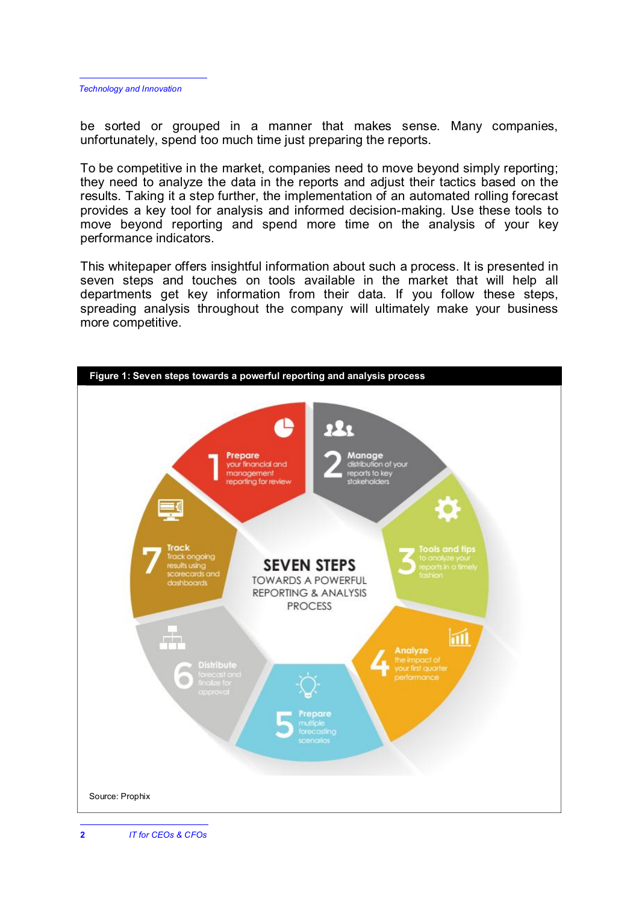be sorted or grouped in a manner that makes sense. Many companies, unfortunately, spend too much time just preparing the reports.

To be competitive in the market, companies need to move beyond simply reporting; they need to analyze the data in the reports and adjust their tactics based on the results. Taking it a step further, the implementation of an automated rolling forecast provides a key tool for analysis and informed decision-making. Use these tools to move beyond reporting and spend more time on the analysis of your key performance indicators.

This whitepaper offers insightful information about such a process. It is presented in seven steps and touches on tools available in the market that will help all departments get key information from their data. If you follow these steps, spreading analysis throughout the company will ultimately make your business more competitive.

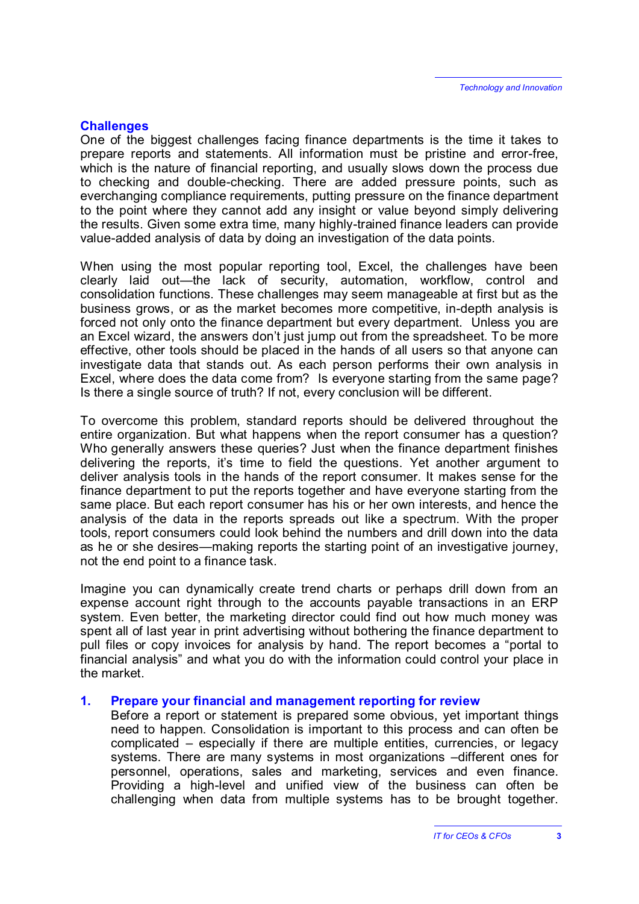## **Challenges**

One of the biggest challenges facing finance departments is the time it takes to prepare reports and statements. All information must be pristine and error-free, which is the nature of financial reporting, and usually slows down the process due to checking and double-checking. There are added pressure points, such as everchanging compliance requirements, putting pressure on the finance department to the point where they cannot add any insight or value beyond simply delivering the results. Given some extra time, many highly-trained finance leaders can provide value-added analysis of data by doing an investigation of the data points.

When using the most popular reporting tool, Excel, the challenges have been clearly laid out—the lack of security, automation, workflow, control and consolidation functions. These challenges may seem manageable at first but as the business grows, or as the market becomes more competitive, in-depth analysis is forced not only onto the finance department but every department. Unless you are an Excel wizard, the answers don't just jump out from the spreadsheet. To be more effective, other tools should be placed in the hands of all users so that anyone can investigate data that stands out. As each person performs their own analysis in Excel, where does the data come from? Is everyone starting from the same page? Is there a single source of truth? If not, every conclusion will be different.

To overcome this problem, standard reports should be delivered throughout the entire organization. But what happens when the report consumer has a question? Who generally answers these queries? Just when the finance department finishes delivering the reports, it's time to field the questions. Yet another argument to deliver analysis tools in the hands of the report consumer. It makes sense for the finance department to put the reports together and have everyone starting from the same place. But each report consumer has his or her own interests, and hence the analysis of the data in the reports spreads out like a spectrum. With the proper tools, report consumers could look behind the numbers and drill down into the data as he or she desires—making reports the starting point of an investigative journey, not the end point to a finance task.

Imagine you can dynamically create trend charts or perhaps drill down from an expense account right through to the accounts payable transactions in an ERP system. Even better, the marketing director could find out how much money was spent all of last year in print advertising without bothering the finance department to pull files or copy invoices for analysis by hand. The report becomes a "portal to financial analysis" and what you do with the information could control your place in the market.

#### **1. Prepare your financial and management reporting for review**

Before a report or statement is prepared some obvious, yet important things need to happen. Consolidation is important to this process and can often be complicated – especially if there are multiple entities, currencies, or legacy systems. There are many systems in most organizations –different ones for personnel, operations, sales and marketing, services and even finance. Providing a high-level and unified view of the business can often be challenging when data from multiple systems has to be brought together.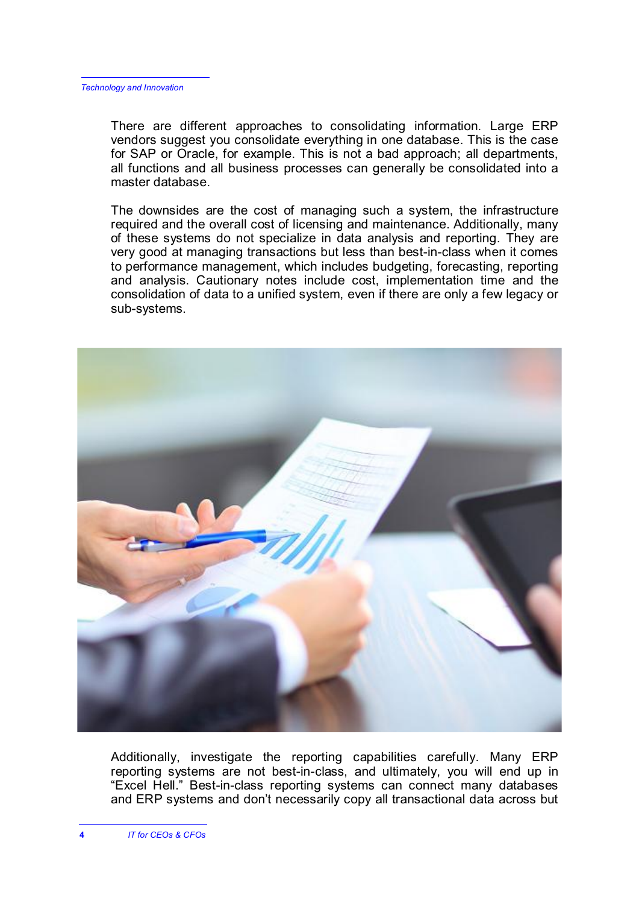There are different approaches to consolidating information. Large ERP vendors suggest you consolidate everything in one database. This is the case for SAP or Oracle, for example. This is not a bad approach; all departments, all functions and all business processes can generally be consolidated into a master database.

The downsides are the cost of managing such a system, the infrastructure required and the overall cost of licensing and maintenance. Additionally, many of these systems do not specialize in data analysis and reporting. They are very good at managing transactions but less than best-in-class when it comes to performance management, which includes budgeting, forecasting, reporting and analysis. Cautionary notes include cost, implementation time and the consolidation of data to a unified system, even if there are only a few legacy or sub-systems.



Additionally, investigate the reporting capabilities carefully. Many ERP reporting systems are not best-in-class, and ultimately, you will end up in "Excel Hell." Best-in-class reporting systems can connect many databases and ERP systems and don't necessarily copy all transactional data across but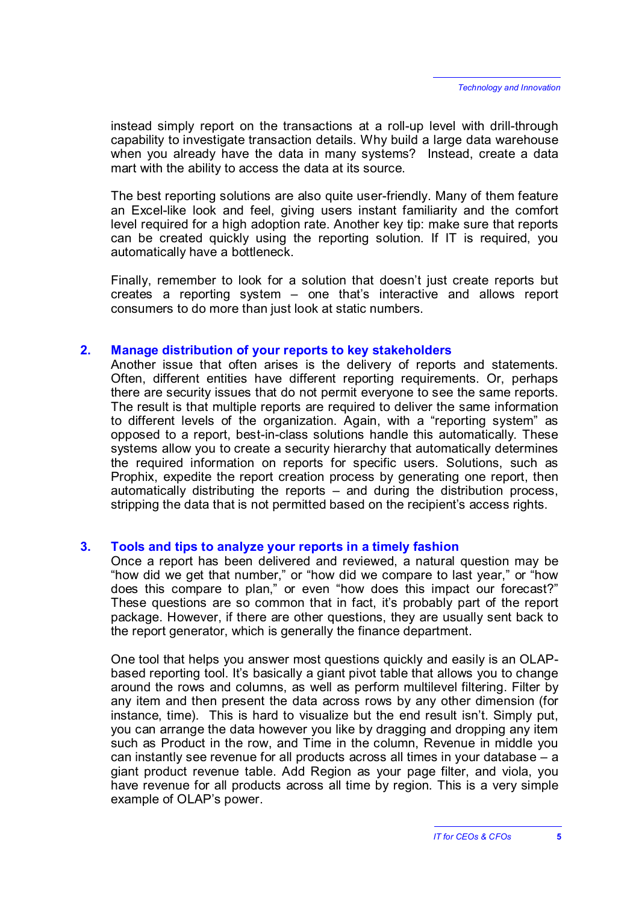instead simply report on the transactions at a roll-up level with drill-through capability to investigate transaction details. Why build a large data warehouse when you already have the data in many systems? Instead, create a data mart with the ability to access the data at its source.

The best reporting solutions are also quite user-friendly. Many of them feature an Excel-like look and feel, giving users instant familiarity and the comfort level required for a high adoption rate. Another key tip: make sure that reports can be created quickly using the reporting solution. If IT is required, you automatically have a bottleneck.

Finally, remember to look for a solution that doesn't just create reports but creates a reporting system – one that's interactive and allows report consumers to do more than just look at static numbers.

#### **2. Manage distribution of your reports to key stakeholders**

Another issue that often arises is the delivery of reports and statements. Often, different entities have different reporting requirements. Or, perhaps there are security issues that do not permit everyone to see the same reports. The result is that multiple reports are required to deliver the same information to different levels of the organization. Again, with a "reporting system" as opposed to a report, best-in-class solutions handle this automatically. These systems allow you to create a security hierarchy that automatically determines the required information on reports for specific users. Solutions, such as Prophix, expedite the report creation process by generating one report, then automatically distributing the reports – and during the distribution process, stripping the data that is not permitted based on the recipient's access rights.

#### **3. Tools and tips to analyze your reports in a timely fashion**

Once a report has been delivered and reviewed, a natural question may be "how did we get that number," or "how did we compare to last year," or "how does this compare to plan," or even "how does this impact our forecast?" These questions are so common that in fact, it's probably part of the report package. However, if there are other questions, they are usually sent back to the report generator, which is generally the finance department.

One tool that helps you answer most questions quickly and easily is an OLAPbased reporting tool. It's basically a giant pivot table that allows you to change around the rows and columns, as well as perform multilevel filtering. Filter by any item and then present the data across rows by any other dimension (for instance, time). This is hard to visualize but the end result isn't. Simply put, you can arrange the data however you like by dragging and dropping any item such as Product in the row, and Time in the column, Revenue in middle you can instantly see revenue for all products across all times in your database – a giant product revenue table. Add Region as your page filter, and viola, you have revenue for all products across all time by region. This is a very simple example of OLAP's power.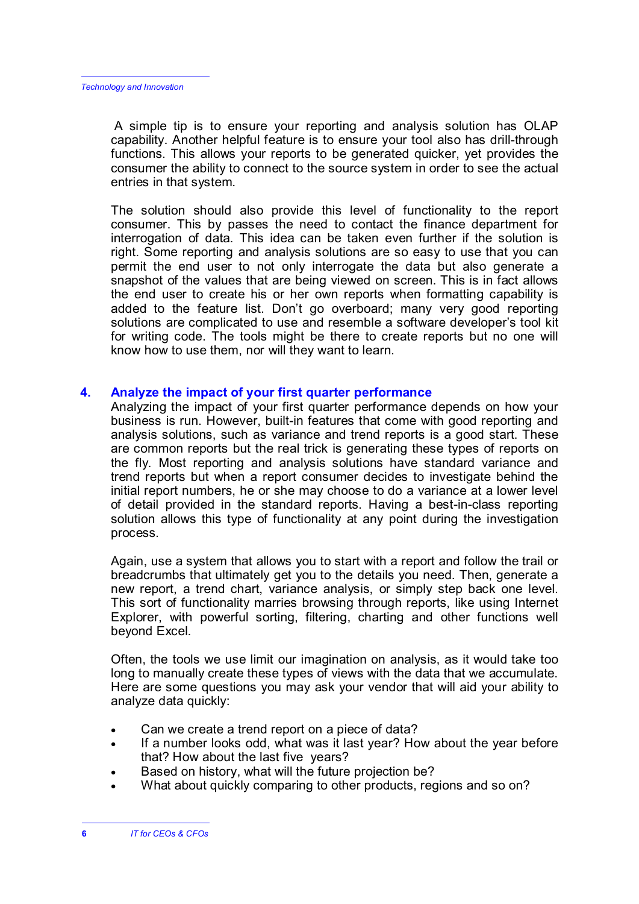A simple tip is to ensure your reporting and analysis solution has OLAP capability. Another helpful feature is to ensure your tool also has drill-through functions. This allows your reports to be generated quicker, yet provides the consumer the ability to connect to the source system in order to see the actual entries in that system.

The solution should also provide this level of functionality to the report consumer. This by passes the need to contact the finance department for interrogation of data. This idea can be taken even further if the solution is right. Some reporting and analysis solutions are so easy to use that you can permit the end user to not only interrogate the data but also generate a snapshot of the values that are being viewed on screen. This is in fact allows the end user to create his or her own reports when formatting capability is added to the feature list. Don't go overboard; many very good reporting solutions are complicated to use and resemble a software developer's tool kit for writing code. The tools might be there to create reports but no one will know how to use them, nor will they want to learn.

## **4. Analyze the impact of your first quarter performance**

Analyzing the impact of your first quarter performance depends on how your business is run. However, built-in features that come with good reporting and analysis solutions, such as variance and trend reports is a good start. These are common reports but the real trick is generating these types of reports on the fly. Most reporting and analysis solutions have standard variance and trend reports but when a report consumer decides to investigate behind the initial report numbers, he or she may choose to do a variance at a lower level of detail provided in the standard reports. Having a best-in-class reporting solution allows this type of functionality at any point during the investigation process.

Again, use a system that allows you to start with a report and follow the trail or breadcrumbs that ultimately get you to the details you need. Then, generate a new report, a trend chart, variance analysis, or simply step back one level. This sort of functionality marries browsing through reports, like using Internet Explorer, with powerful sorting, filtering, charting and other functions well beyond Excel.

Often, the tools we use limit our imagination on analysis, as it would take too long to manually create these types of views with the data that we accumulate. Here are some questions you may ask your vendor that will aid your ability to analyze data quickly:

- Can we create a trend report on a piece of data?
- If a number looks odd, what was it last year? How about the year before that? How about the last five years?
- Based on history, what will the future projection be?
- What about quickly comparing to other products, regions and so on?